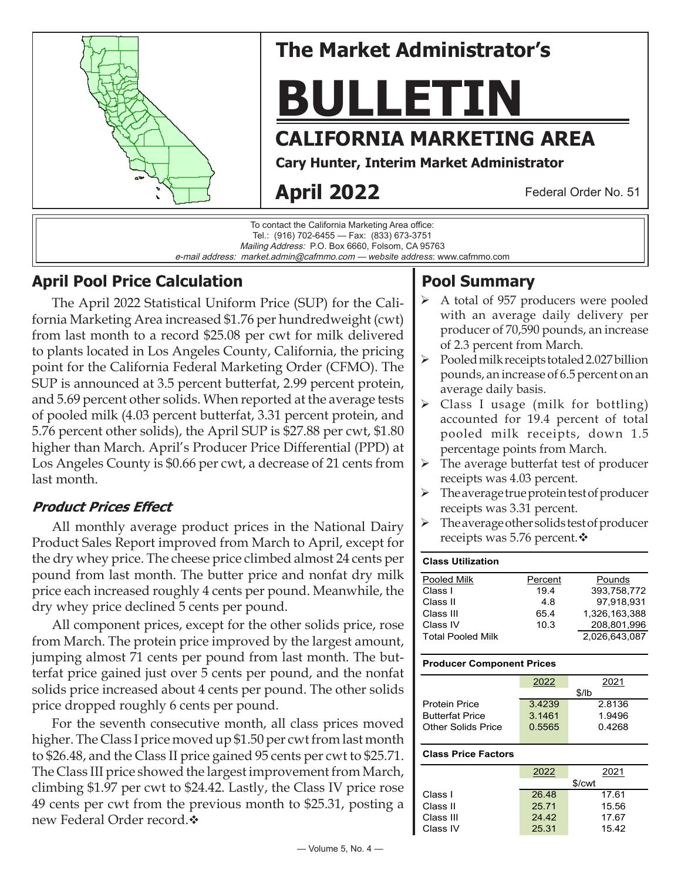

e-mail address: market.admin@cafmmo.com — *website address*: www.cafmmo.com

# **April Pool Price Calculation**

The April 2022 Statistical Uniform Price (SUP) for the California Marketing Area increased \$1.76 per hundredweight (cwt) from last month to a record \$25.08 per cwt for milk delivered to plants located in Los Angeles County, California, the pricing point for the California Federal Marketing Order (CFMO). The SUP is announced at 3.5 percent butterfat, 2.99 percent protein, and 5.69 percent other solids. When reported at the average tests of pooled milk (4.03 percent butterfat, 3.31 percent protein, and 5.76 percent other solids), the April SUP is \$27.88 per cwt, \$1.80 higher than March. April's Producer Price Differential (PPD) at Los Angeles County is \$0.66 per cwt, a decrease of 21 cents from last month.

### **Product Prices Effect**

All monthly average product prices in the National Dairy Product Sales Report improved from March to April, except for the dry whey price. The cheese price climbed almost 24 cents per pound from last month. The butter price and nonfat dry milk price each increased roughly 4 cents per pound. Meanwhile, the dry whey price declined 5 cents per pound.

All component prices, except for the other solids price, rose from March. The protein price improved by the largest amount, jumping almost 71 cents per pound from last month. The butterfat price gained just over 5 cents per pound, and the nonfat solids price increased about 4 cents per pound. The other solids price dropped roughly 6 cents per pound.

For the seventh consecutive month, all class prices moved higher. The Class I price moved up \$1.50 per cwt from last month to \$26.48, and the Class II price gained 95 cents per cwt to \$25.71. The Class III price showed the largest improvement from March, climbing \$1.97 per cwt to \$24.42. Lastly, the Class IV price rose 49 cents per cwt from the previous month to \$25.31, posting a new Federal Order record. ❖

# **Pool Summary**

- A total of 957 producers were pooled with an average daily delivery per producer of 70,590 pounds, an increase of 2.3 percent from March.
- $\triangleright$  Pooled milk receipts totaled 2.027 billion pounds, an increase of 6.5 percent on an average daily basis.
- Class I usage (milk for bottling) accounted for 19.4 percent of total pooled milk receipts, down 1.5 percentage points from March.
- $\triangleright$  The average butterfat test of producer receipts was 4.03 percent.
- $\triangleright$  The average true protein test of producer receipts was 3.31 percent.
- The average other solids test of producer receipts was 5.76 percent. $\mathbf{\hat{v}}$

| <b>Class Utilization</b> |         |               |
|--------------------------|---------|---------------|
| Pooled Milk              | Percent | Pounds        |
| Class I                  | 194     | 393.758.772   |
| Class II                 | 4.8     | 97.918.931    |
| Class III                | 65.4    | 1,326,163,388 |
| Class IV                 | 10.3    | 208,801,996   |
| <b>Total Pooled Milk</b> |         | 2.026.643.087 |

#### **Producer Component Prices**

|                        | 2022   | 2021   |
|------------------------|--------|--------|
|                        |        | \$/lh  |
| <b>Protein Price</b>   | 3.4239 | 2.8136 |
| <b>Butterfat Price</b> | 3.1461 | 1.9496 |
| Other Solids Price     | 0.5565 | 0.4268 |
|                        |        |        |

#### **Class Price Factors**

|           | 2022  | 2021   |
|-----------|-------|--------|
|           |       | \$/cwt |
| Class I   | 26.48 | 17.61  |
| Class II  | 25.71 | 15.56  |
| Class III | 24.42 | 17.67  |
| Class IV  | 25.31 | 15.42  |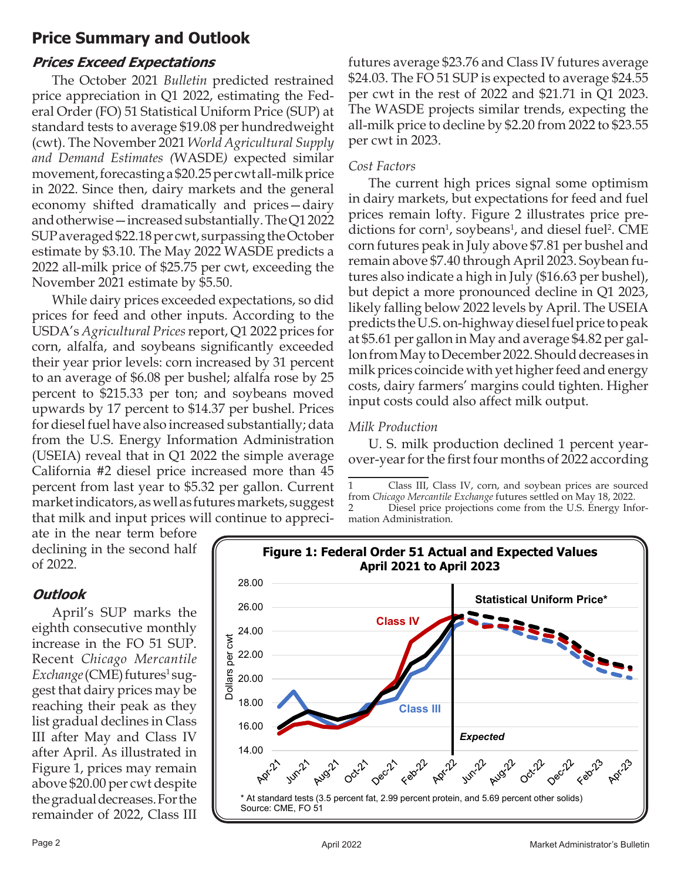## **Price Summary and Outlook**

### **Prices Exceed Expectations**

The October 2021 *Bulletin* predicted restrained price appreciation in Q1 2022, estimating the Federal Order (FO) 51 Statistical Uniform Price (SUP) at standard tests to average \$19.08 per hundredweight (cwt). The November 2021 *World Agricultural Supply and Demand Estimates (*WASDE*)* expected similar movement, forecasting a \$20.25 per cwt all-milk price in 2022. Since then, dairy markets and the general economy shifted dramatically and prices—dairy and otherwise—increased substantially. The Q1 2022 SUP averaged \$22.18 per cwt, surpassing the October estimate by \$3.10. The May 2022 WASDE predicts a 2022 all-milk price of \$25.75 per cwt, exceeding the November 2021 estimate by \$5.50.

While dairy prices exceeded expectations, so did prices for feed and other inputs. According to the USDA's *Agricultural Prices* report, Q1 2022 prices for corn, alfalfa, and soybeans significantly exceeded their year prior levels: corn increased by 31 percent to an average of \$6.08 per bushel; alfalfa rose by 25 percent to \$215.33 per ton; and soybeans moved upwards by 17 percent to \$14.37 per bushel. Prices for diesel fuel have also increased substantially; data from the U.S. Energy Information Administration (USEIA) reveal that in Q1 2022 the simple average California #2 diesel price increased more than 45 percent from last year to \$5.32 per gallon. Current market indicators, as well as futures markets, suggest that milk and input prices will continue to apprecifutures average \$23.76 and Class IV futures average \$24.03. The FO 51 SUP is expected to average \$24.55 per cwt in the rest of 2022 and \$21.71 in Q1 2023. The WASDE projects similar trends, expecting the all-milk price to decline by \$2.20 from 2022 to \$23.55 per cwt in 2023.

### *Cost Factors*

The current high prices signal some optimism in dairy markets, but expectations for feed and fuel prices remain lofty. Figure 2 illustrates price predictions for corn<sup>1</sup>, soybeans<sup>1</sup>, and diesel fuel<sup>2</sup>. CME corn futures peak in July above \$7.81 per bushel and remain above \$7.40 through April 2023. Soybean futures also indicate a high in July (\$16.63 per bushel), but depict a more pronounced decline in Q1 2023, likely falling below 2022 levels by April. The USEIA predicts the U.S. on-highway diesel fuel price to peak at \$5.61 per gallon in May and average \$4.82 per gallon from May to December 2022. Should decreases in milk prices coincide with yet higher feed and energy costs, dairy farmers' margins could tighten. Higher input costs could also affect milk output.

### *Milk Production*

U. S. milk production declined 1 percent yearover-year for the first four months of 2022 according

ate in the near term before declining in the second half of 2022.

### **Outlook**

April's SUP marks the eighth consecutive monthly increase in the FO 51 SUP. Recent *Chicago Mercantile*  Exchange (CME) futures<sup>1</sup> suggest that dairy prices may be reaching their peak as they list gradual declines in Class III after May and Class IV after April. As illustrated in Figure 1, prices may remain above \$20.00 per cwt despite the gradual decreases. For the remainder of 2022, Class III



<sup>1</sup> Class III, Class IV, corn, and soybean prices are sourced from *Chicago Mercantile Exchange* futures settled on May 18, 2022. 2 Diesel price projections come from the U.S. Energy Information Administration.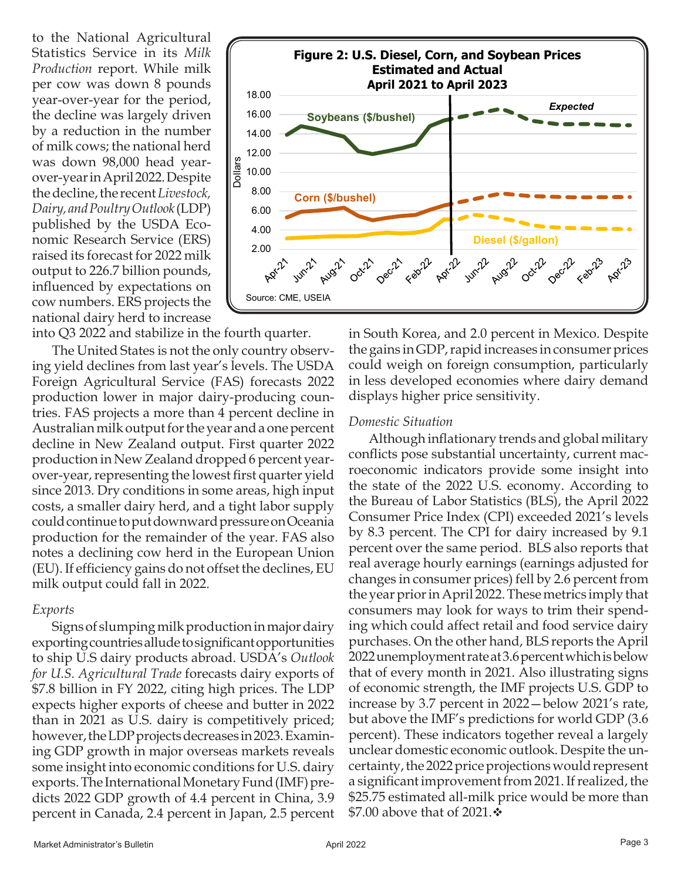to the National Agricultural Statistics Service in its *Milk Production* report. While milk per cow was down 8 pounds year-over-year for the period, the decline was largely driven by a reduction in the number of milk cows; the national herd was down 98,000 head yearover-year in April 2022. Despite the decline, the recent *Livestock, Dairy, and Poultry Outlook* (LDP) published by the USDA Economic Research Service (ERS) raised its forecast for 2022 milk output to 226.7 billion pounds, influenced by expectations on cow numbers. ERS projects the national dairy herd to increase

into Q3 2022 and stabilize in the fourth quarter.

The United States is not the only country observing yield declines from last year's levels. The USDA Foreign Agricultural Service (FAS) forecasts 2022 production lower in major dairy-producing countries. FAS projects a more than 4 percent decline in Australian milk output for the year and a one percent decline in New Zealand output. First quarter 2022 production in New Zealand dropped 6 percent yearover-year, representing the lowest first quarter yield since 2013. Dry conditions in some areas, high input costs, a smaller dairy herd, and a tight labor supply could continue to put downward pressure on Oceania production for the remainder of the year. FAS also notes a declining cow herd in the European Union (EU). If efficiency gains do not offset the declines, EU milk output could fall in 2022.

#### *Exports*

Signs of slumping milk production in major dairy exporting countries allude to significant opportunities to ship U.S dairy products abroad. USDA's *Outlook for U.S. Agricultural Trade* forecasts dairy exports of \$7.8 billion in FY 2022, citing high prices. The LDP expects higher exports of cheese and butter in 2022 than in 2021 as U.S. dairy is competitively priced; however, the LDP projects decreases in 2023.Examining GDP growth in major overseas markets reveals some insight into economic conditions for U.S. dairy exports. The International Monetary Fund (IMF) predicts 2022 GDP growth of 4.4 percent in China, 3.9 percent in Canada, 2.4 percent in Japan, 2.5 percent



in South Korea, and 2.0 percent in Mexico. Despite the gains in GDP, rapid increases in consumer prices could weigh on foreign consumption, particularly in less developed economies where dairy demand displays higher price sensitivity.

### *Domestic Situation*

Although inflationary trends and global military conflicts pose substantial uncertainty, current macroeconomic indicators provide some insight into the state of the 2022 U.S. economy. According to the Bureau of Labor Statistics (BLS), the April 2022 Consumer Price Index (CPI) exceeded 2021's levels by 8.3 percent. The CPI for dairy increased by 9.1 percent over the same period. BLS also reports that real average hourly earnings (earnings adjusted for changes in consumer prices) fell by 2.6 percent from the year prior in April 2022. These metrics imply that consumers may look for ways to trim their spending which could affect retail and food service dairy purchases. On the other hand, BLS reports the April 2022 unemployment rate at 3.6 percent which is below that of every month in 2021. Also illustrating signs of economic strength, the IMF projects U.S. GDP to increase by 3.7 percent in 2022—below 2021's rate, but above the IMF's predictions for world GDP (3.6 percent). These indicators together reveal a largely unclear domestic economic outlook. Despite the uncertainty, the 2022 price projections would represent a significant improvement from 2021. If realized, the \$25.75 estimated all-milk price would be more than \$7.00 above that of 2021. $\div$